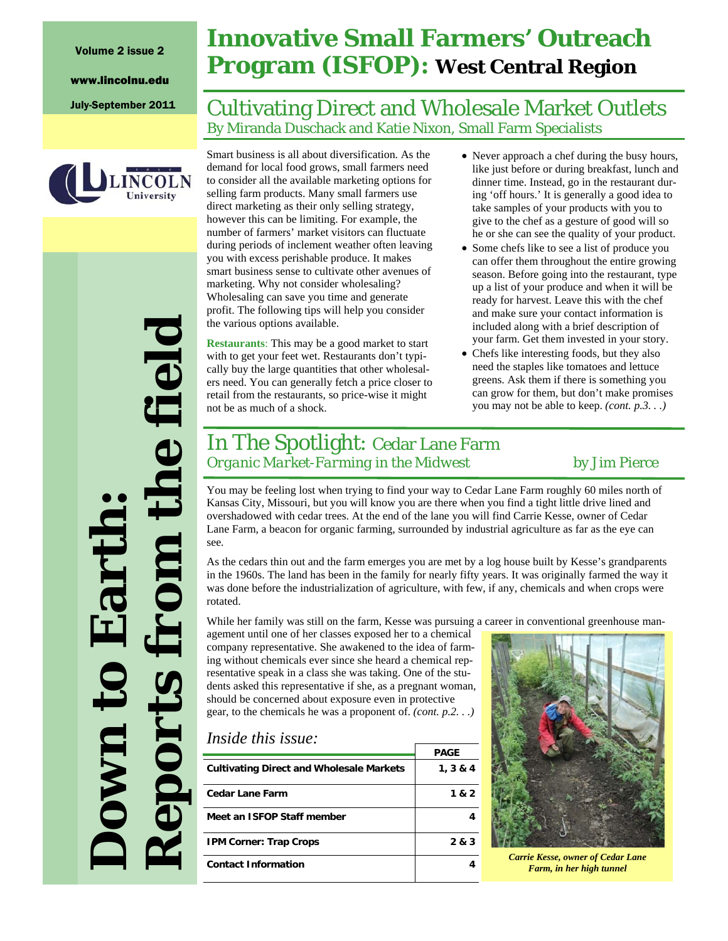# University

*Reports from the field*  the field **Down to Earth:**  Earth eports **OWN** 

## **Innovative Small Farmers' Outreach Program (ISFOP): West Central Region**

### July-September 2011 | Cultivating Direct and Wholesale Market Outlets By Miranda Duschack and Katie Nixon, Small Farm Specialists

Smart business is all about diversification. As the demand for local food grows, small farmers need to consider all the available marketing options for selling farm products. Many small farmers use direct marketing as their only selling strategy, however this can be limiting. For example, the number of farmers' market visitors can fluctuate during periods of inclement weather often leaving you with excess perishable produce. It makes smart business sense to cultivate other avenues of marketing. Why not consider wholesaling? Wholesaling can save you time and generate profit. The following tips will help you consider the various options available.

**Restaurants**: This may be a good market to start with to get your feet wet. Restaurants don't typically buy the large quantities that other wholesalers need. You can generally fetch a price closer to retail from the restaurants, so price-wise it might not be as much of a shock.

- Never approach a chef during the busy hours, like just before or during breakfast, lunch and dinner time. Instead, go in the restaurant during 'off hours.' It is generally a good idea to take samples of your products with you to give to the chef as a gesture of good will so he or she can see the quality of your product.
- Some chefs like to see a list of produce you can offer them throughout the entire growing season. Before going into the restaurant, type up a list of your produce and when it will be ready for harvest. Leave this with the chef and make sure your contact information is included along with a brief description of your farm. Get them invested in your story.
- Chefs like interesting foods, but they also need the staples like tomatoes and lettuce greens. Ask them if there is something you can grow for them, but don't make promises you may not be able to keep. *(cont. p.3. . .)*

### In The Spotlight: Cedar Lane Farm *Organic Market-Farming in the Midwest* by Jim Pierce

You may be feeling lost when trying to find your way to Cedar Lane Farm roughly 60 miles north of Kansas City, Missouri, but you will know you are there when you find a tight little drive lined and overshadowed with cedar trees. At the end of the lane you will find Carrie Kesse, owner of Cedar Lane Farm, a beacon for organic farming, surrounded by industrial agriculture as far as the eye can see.

As the cedars thin out and the farm emerges you are met by a log house built by Kesse's grandparents in the 1960s. The land has been in the family for nearly fifty years. It was originally farmed the way it was done before the industrialization of agriculture, with few, if any, chemicals and when crops were rotated.

While her family was still on the farm, Kesse was pursuing a career in conventional greenhouse man-

agement until one of her classes exposed her to a chemical company representative. She awakened to the idea of farming without chemicals ever since she heard a chemical representative speak in a class she was taking. One of the students asked this representative if she, as a pregnant woman, should be concerned about exposure even in protective gear, to the chemicals he was a proponent of. *(cont. p.2. . .)*

#### *Inside this issue:*

|                                                 | <b>PAGE</b> |
|-------------------------------------------------|-------------|
| <b>Cultivating Direct and Wholesale Markets</b> | 1, 3 & 4    |
| <b>Cedar Lane Farm</b>                          | 1 & 2       |
| Meet an ISFOP Staff member                      |             |
| <b>IPM Corner: Trap Crops</b>                   | 2 & 3       |
| <b>Contact Information</b>                      |             |



*Carrie Kesse, owner of Cedar Lane Farm, in her high tunnel*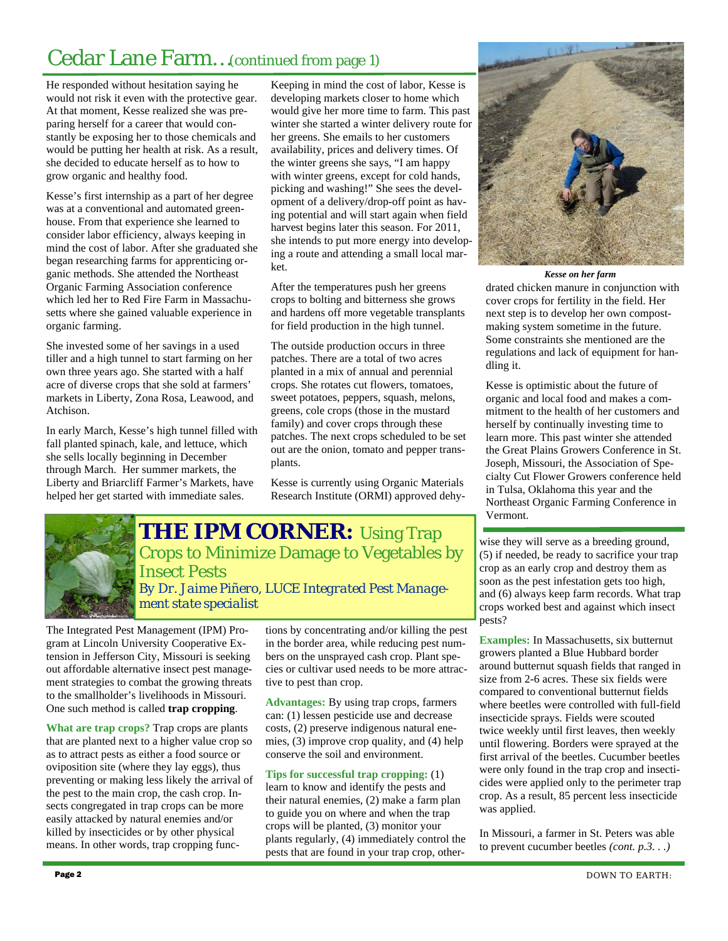### Cedar Lane Farm…(continued from page 1)

He responded without hesitation saying he would not risk it even with the protective gear. At that moment, Kesse realized she was preparing herself for a career that would constantly be exposing her to those chemicals and would be putting her health at risk. As a result, she decided to educate herself as to how to grow organic and healthy food.

Kesse's first internship as a part of her degree was at a conventional and automated greenhouse. From that experience she learned to consider labor efficiency, always keeping in mind the cost of labor. After she graduated she began researching farms for apprenticing organic methods. She attended the Northeast Organic Farming Association conference which led her to Red Fire Farm in Massachusetts where she gained valuable experience in organic farming.

She invested some of her savings in a used tiller and a high tunnel to start farming on her own three years ago. She started with a half acre of diverse crops that she sold at farmers' markets in Liberty, Zona Rosa, Leawood, and Atchison.

In early March, Kesse's high tunnel filled with fall planted spinach, kale, and lettuce, which she sells locally beginning in December through March. Her summer markets, the Liberty and Briarcliff Farmer's Markets, have helped her get started with immediate sales.

Keeping in mind the cost of labor, Kesse is developing markets closer to home which would give her more time to farm. This past winter she started a winter delivery route for her greens. She emails to her customers availability, prices and delivery times. Of the winter greens she says, "I am happy with winter greens, except for cold hands, picking and washing!" She sees the development of a delivery/drop-off point as having potential and will start again when field harvest begins later this season. For 2011, she intends to put more energy into developing a route and attending a small local market.

After the temperatures push her greens crops to bolting and bitterness she grows and hardens off more vegetable transplants for field production in the high tunnel.

The outside production occurs in three patches. There are a total of two acres planted in a mix of annual and perennial crops. She rotates cut flowers, tomatoes, sweet potatoes, peppers, squash, melons, greens, cole crops (those in the mustard family) and cover crops through these patches. The next crops scheduled to be set out are the onion, tomato and pepper transplants.

Kesse is currently using Organic Materials Research Institute (ORMI) approved dehy-



**THE IPM CORNER:** Using Trap Crops to Minimize Damage to Vegetables by Insect Pests *By Dr. Jaime Piñero, LUCE Integrated Pest Management state specialist* 

The Integrated Pest Management (IPM) Program at Lincoln University Cooperative Extension in Jefferson City, Missouri is seeking out affordable alternative insect pest management strategies to combat the growing threats to the smallholder's livelihoods in Missouri. One such method is called **trap cropping**.

**What are trap crops?** Trap crops are plants that are planted next to a higher value crop so as to attract pests as either a food source or oviposition site (where they lay eggs), thus preventing or making less likely the arrival of the pest to the main crop, the cash crop. Insects congregated in trap crops can be more easily attacked by natural enemies and/or killed by insecticides or by other physical means. In other words, trap cropping functions by concentrating and/or killing the pest in the border area, while reducing pest numbers on the unsprayed cash crop. Plant species or cultivar used needs to be more attractive to pest than crop.

**Advantages:** By using trap crops, farmers can: (1) lessen pesticide use and decrease costs, (2) preserve indigenous natural enemies, (3) improve crop quality, and (4) help conserve the soil and environment.

**Tips for successful trap cropping:** (1) learn to know and identify the pests and their natural enemies, (2) make a farm plan to guide you on where and when the trap crops will be planted, (3) monitor your plants regularly, (4) immediately control the pests that are found in your trap crop, other-



*Kesse on her farm* 

drated chicken manure in conjunction with cover crops for fertility in the field. Her next step is to develop her own compostmaking system sometime in the future. Some constraints she mentioned are the regulations and lack of equipment for handling it.

Kesse is optimistic about the future of organic and local food and makes a commitment to the health of her customers and herself by continually investing time to learn more. This past winter she attended the Great Plains Growers Conference in St. Joseph, Missouri, the Association of Specialty Cut Flower Growers conference held in Tulsa, Oklahoma this year and the Northeast Organic Farming Conference in Vermont.

wise they will serve as a breeding ground, (5) if needed, be ready to sacrifice your trap crop as an early crop and destroy them as soon as the pest infestation gets too high, and (6) always keep farm records. What trap crops worked best and against which insect pests?

**Examples:** In Massachusetts, six butternut growers planted a Blue Hubbard border around butternut squash fields that ranged in size from 2-6 acres. These six fields were compared to conventional butternut fields where beetles were controlled with full-field insecticide sprays. Fields were scouted twice weekly until first leaves, then weekly until flowering. Borders were sprayed at the first arrival of the beetles. Cucumber beetles were only found in the trap crop and insecticides were applied only to the perimeter trap crop. As a result, 85 percent less insecticide was applied.

In Missouri, a farmer in St. Peters was able to prevent cucumber beetles *(cont. p.3. . .)*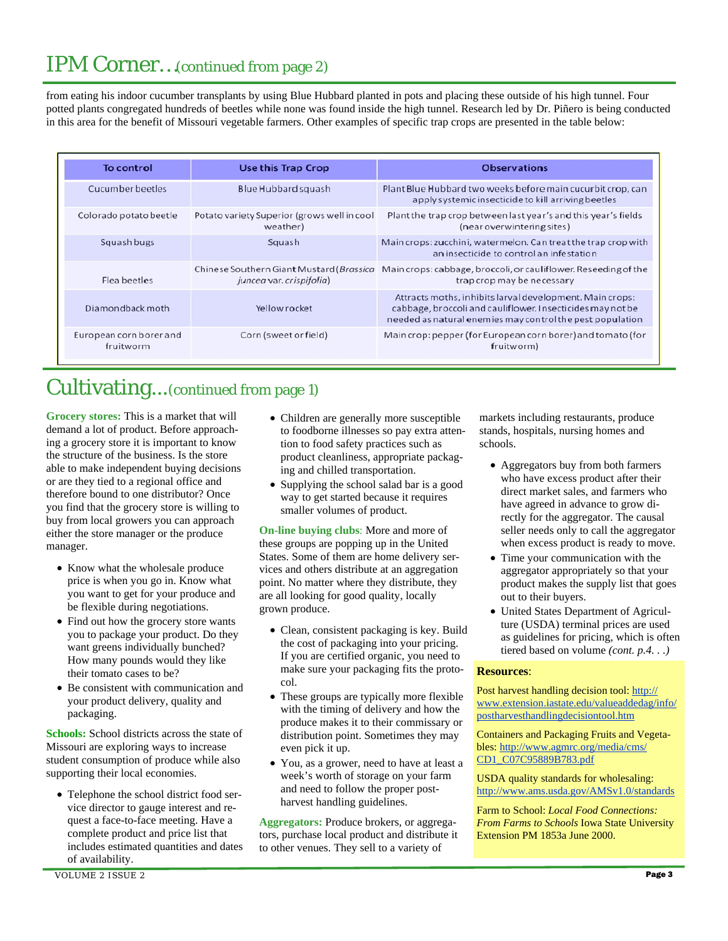### IPM Corner…(continued from page 2)

from eating his indoor cucumber transplants by using Blue Hubbard planted in pots and placing these outside of his high tunnel. Four potted plants congregated hundreds of beetles while none was found inside the high tunnel. Research led by Dr. Piñero is being conducted in this area for the benefit of Missouri vegetable farmers. Other examples of specific trap crops are presented in the table below:

| <b>To control</b>                    | <b>Use this Trap Crop</b>                               | <b>Observations</b>                                                                                                                                                                 |
|--------------------------------------|---------------------------------------------------------|-------------------------------------------------------------------------------------------------------------------------------------------------------------------------------------|
| Cucumber beetles                     | Blue Hubbard squash                                     | Plant Blue Hubbard two weeks before main cucurbit crop, can<br>apply systemic insecticide to kill arriving beetles                                                                  |
| Colorado potato beetle               | Potato variety Superior (grows well in cool<br>weather) | Plant the trap crop between last year's and this year's fields<br>(near overwintering sites)                                                                                        |
| Squash bugs                          | Squash                                                  | Main crops: zucchini, watermelon. Can treat the trap crop with<br>an insecticide to control an infestation                                                                          |
| Flea beetles                         | juncea var. crispifolia)                                | Chinese Southern Giant Mustard ( <i>Brassica</i> Main crops: cabbage, broccoli, or cauliflower. Reseeding of the<br>trap crop may be necessary                                      |
| Diamondback moth                     | Yellow rocket                                           | Attracts moths, inhibits larval development. Main crops:<br>cabbage, broccoli and cauliflower. Insecticides may not be<br>needed as natural enemies may control the pest population |
| European corn borer and<br>fruitworm | Corn (sweet or field)                                   | Main crop: pepper (for European corn borer) and tomato (for<br>fruitworm)                                                                                                           |

### Cultivating...(continued from page 1)

**Grocery stores:** This is a market that will demand a lot of product. Before approaching a grocery store it is important to know the structure of the business. Is the store able to make independent buying decisions or are they tied to a regional office and therefore bound to one distributor? Once you find that the grocery store is willing to buy from local growers you can approach either the store manager or the produce manager.

- Know what the wholesale produce price is when you go in. Know what you want to get for your produce and be flexible during negotiations.
- Find out how the grocery store wants you to package your product. Do they want greens individually bunched? How many pounds would they like their tomato cases to be?
- Be consistent with communication and your product delivery, quality and packaging.

**Schools:** School districts across the state of Missouri are exploring ways to increase student consumption of produce while also supporting their local economies.

• Telephone the school district food service director to gauge interest and request a face-to-face meeting. Have a complete product and price list that includes estimated quantities and dates of availability.

- Children are generally more susceptible to foodborne illnesses so pay extra attention to food safety practices such as product cleanliness, appropriate packaging and chilled transportation.
- Supplying the school salad bar is a good way to get started because it requires smaller volumes of product.

**On-line buying clubs**: More and more of these groups are popping up in the United States. Some of them are home delivery services and others distribute at an aggregation point. No matter where they distribute, they are all looking for good quality, locally grown produce.

- Clean, consistent packaging is key. Build the cost of packaging into your pricing. If you are certified organic, you need to make sure your packaging fits the protocol.
- These groups are typically more flexible with the timing of delivery and how the produce makes it to their commissary or distribution point. Sometimes they may even pick it up.
- You, as a grower, need to have at least a week's worth of storage on your farm and need to follow the proper postharvest handling guidelines.

**Aggregators:** Produce brokers, or aggregators, purchase local product and distribute it to other venues. They sell to a variety of

markets including restaurants, produce stands, hospitals, nursing homes and schools.

- Aggregators buy from both farmers who have excess product after their direct market sales, and farmers who have agreed in advance to grow directly for the aggregator. The causal seller needs only to call the aggregator when excess product is ready to move.
- Time your communication with the aggregator appropriately so that your product makes the supply list that goes out to their buyers.
- United States Department of Agriculture (USDA) terminal prices are used as guidelines for pricing, which is often tiered based on volume *(cont. p.4. . .)*

#### **Resources**:

Post harvest handling decision tool: http:// www.extension.iastate.edu/valueaddedag/info/ postharvesthandlingdecisiontool.htm

Containers and Packaging Fruits and Vegetables: http://www.agmrc.org/media/cms/ CD1\_C07C95889B783.pdf

USDA quality standards for wholesaling: http://www.ams.usda.gov/AMSv1.0/standards

Farm to School: *Local Food Connections: From Farms to Schools* Iowa State University Extension PM 1853a June 2000.

VOLUME 2 ISSUE 2